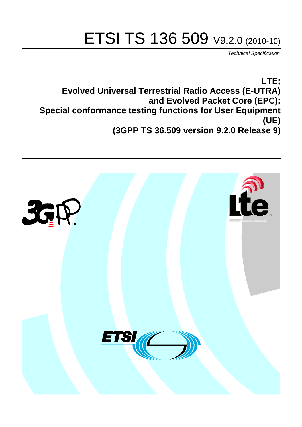# ETSI TS 136 509 V9.2.0 (2010-10)

*Technical Specification*

**LTE; Evolved Universal Terrestrial Radio Access (E-UTRA) and Evolved Packet Core (EPC); Special conformance testing functions for User Equipment (UE) (3GPP TS 36.509 version 9.2.0 Release 9)**

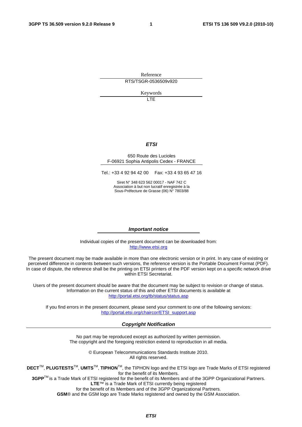Reference RTS/TSGR-0536509v920

Keywords

 $\overline{1}$ 

#### *ETSI*

#### 650 Route des Lucioles F-06921 Sophia Antipolis Cedex - FRANCE

Tel.: +33 4 92 94 42 00 Fax: +33 4 93 65 47 16

Siret N° 348 623 562 00017 - NAF 742 C Association à but non lucratif enregistrée à la Sous-Préfecture de Grasse (06) N° 7803/88

#### *Important notice*

Individual copies of the present document can be downloaded from: [http://www.etsi.org](http://www.etsi.org/)

The present document may be made available in more than one electronic version or in print. In any case of existing or perceived difference in contents between such versions, the reference version is the Portable Document Format (PDF). In case of dispute, the reference shall be the printing on ETSI printers of the PDF version kept on a specific network drive within ETSI Secretariat.

Users of the present document should be aware that the document may be subject to revision or change of status. Information on the current status of this and other ETSI documents is available at <http://portal.etsi.org/tb/status/status.asp>

If you find errors in the present document, please send your comment to one of the following services: [http://portal.etsi.org/chaircor/ETSI\\_support.asp](http://portal.etsi.org/chaircor/ETSI_support.asp)

#### *Copyright Notification*

No part may be reproduced except as authorized by written permission. The copyright and the foregoing restriction extend to reproduction in all media.

> © European Telecommunications Standards Institute 2010. All rights reserved.

**DECT**TM, **PLUGTESTS**TM, **UMTS**TM, **TIPHON**TM, the TIPHON logo and the ETSI logo are Trade Marks of ETSI registered for the benefit of its Members.

**3GPP**TM is a Trade Mark of ETSI registered for the benefit of its Members and of the 3GPP Organizational Partners. **LTE**™ is a Trade Mark of ETSI currently being registered

for the benefit of its Members and of the 3GPP Organizational Partners.

**GSM**® and the GSM logo are Trade Marks registered and owned by the GSM Association.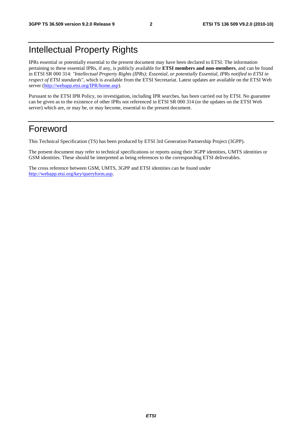# Intellectual Property Rights

IPRs essential or potentially essential to the present document may have been declared to ETSI. The information pertaining to these essential IPRs, if any, is publicly available for **ETSI members and non-members**, and can be found in ETSI SR 000 314: *"Intellectual Property Rights (IPRs); Essential, or potentially Essential, IPRs notified to ETSI in respect of ETSI standards"*, which is available from the ETSI Secretariat. Latest updates are available on the ETSI Web server [\(http://webapp.etsi.org/IPR/home.asp\)](http://webapp.etsi.org/IPR/home.asp).

Pursuant to the ETSI IPR Policy, no investigation, including IPR searches, has been carried out by ETSI. No guarantee can be given as to the existence of other IPRs not referenced in ETSI SR 000 314 (or the updates on the ETSI Web server) which are, or may be, or may become, essential to the present document.

## Foreword

This Technical Specification (TS) has been produced by ETSI 3rd Generation Partnership Project (3GPP).

The present document may refer to technical specifications or reports using their 3GPP identities, UMTS identities or GSM identities. These should be interpreted as being references to the corresponding ETSI deliverables.

The cross reference between GSM, UMTS, 3GPP and ETSI identities can be found under [http://webapp.etsi.org/key/queryform.asp.](http://webapp.etsi.org/key/queryform.asp)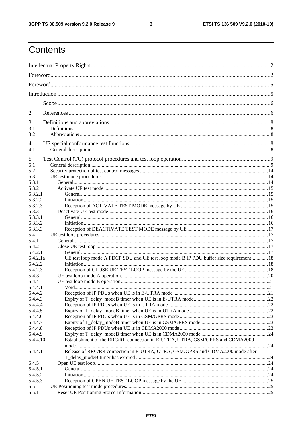$\mathbf{3}$ 

# Contents

| 1                   |                                                                                        |            |
|---------------------|----------------------------------------------------------------------------------------|------------|
| 2                   |                                                                                        |            |
|                     |                                                                                        |            |
| 3<br>3.1            |                                                                                        |            |
| 3.2                 |                                                                                        |            |
| 4                   |                                                                                        |            |
| 4.1                 |                                                                                        |            |
| 5                   |                                                                                        |            |
| 5.1                 |                                                                                        |            |
| 5.2                 |                                                                                        |            |
| 5.3                 |                                                                                        |            |
| 5.3.1               |                                                                                        |            |
| 5.3.2               |                                                                                        |            |
| 5.3.2.1             |                                                                                        |            |
| 5.3.2.2             |                                                                                        |            |
| 5.3.2.3             |                                                                                        |            |
| 5.3.3               |                                                                                        |            |
| 5.3.3.1             |                                                                                        |            |
| 5.3.3.2             |                                                                                        |            |
| 5.3.3.3             |                                                                                        |            |
| 5.4                 |                                                                                        |            |
| 5.4.1               |                                                                                        |            |
| 5.4.2               |                                                                                        |            |
| 5.4.2.1             |                                                                                        |            |
| 5.4.2.1a<br>5.4.2.2 | UE test loop mode A PDCP SDU and UE test loop mode B IP PDU buffer size requirement 18 |            |
| 5.4.2.3             |                                                                                        |            |
| 5.4.3               |                                                                                        |            |
| 5.4.4               |                                                                                        |            |
| 5.4.4.1             |                                                                                        | $\cdot$ 21 |
| 5.4.4.2             |                                                                                        |            |
| 5.4.4.3             |                                                                                        |            |
| 5.4.4.4             |                                                                                        |            |
| 5.4.4.5             |                                                                                        |            |
| 5.4.4.6             |                                                                                        |            |
| 5.4.4.7             |                                                                                        |            |
| 5.4.4.8             |                                                                                        |            |
| 5.4.4.9             |                                                                                        |            |
| 5.4.4.10            | Establishment of the RRC/RR connection in E-UTRA, UTRA, GSM/GPRS and CDMA2000          |            |
|                     |                                                                                        |            |
| 5.4.4.11            | Release of RRC/RR connection in E-UTRA, UTRA, GSM/GPRS and CDMA2000 mode after         |            |
|                     |                                                                                        |            |
| 5.4.5               |                                                                                        |            |
| 5.4.5.1             |                                                                                        |            |
| 5.4.5.2             |                                                                                        |            |
| 5.4.5.3<br>5.5      |                                                                                        |            |
| 5.5.1               |                                                                                        |            |
|                     |                                                                                        |            |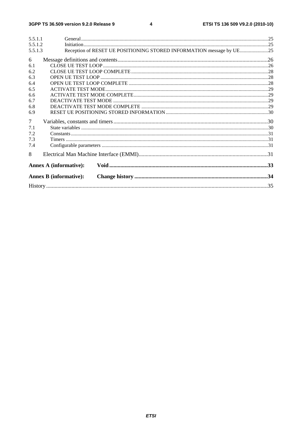#### $\overline{\mathbf{4}}$

| 5.5.1.1<br>5.5.1.2 |                                                                      |  |
|--------------------|----------------------------------------------------------------------|--|
| 5.5.1.3            | Reception of RESET UE POSITIONING STORED INFORMATION message by UE25 |  |
| 6                  |                                                                      |  |
| 6.1                |                                                                      |  |
| 6.2                |                                                                      |  |
| 6.3                |                                                                      |  |
| 6.4                |                                                                      |  |
| 6.5                |                                                                      |  |
| 6.6                |                                                                      |  |
| 6.7                |                                                                      |  |
| 6.8                |                                                                      |  |
| 6.9                |                                                                      |  |
| $\overline{7}$     |                                                                      |  |
| 7.1                |                                                                      |  |
| 7.2                |                                                                      |  |
| 7.3                |                                                                      |  |
| 7.4                |                                                                      |  |
| 8                  |                                                                      |  |
|                    | <b>Annex A (informative):</b>                                        |  |
|                    | <b>Annex B</b> (informative):                                        |  |
|                    |                                                                      |  |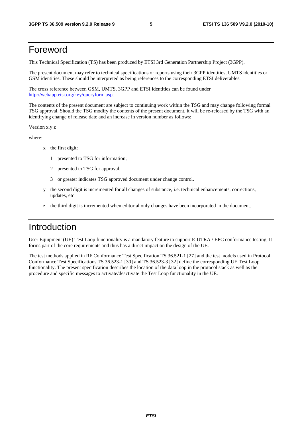### Foreword

This Technical Specification (TS) has been produced by ETSI 3rd Generation Partnership Project (3GPP).

The present document may refer to technical specifications or reports using their 3GPP identities, UMTS identities or GSM identities. These should be interpreted as being references to the corresponding ETSI deliverables.

The cross reference between GSM, UMTS, 3GPP and ETSI identities can be found under [http://webapp.etsi.org/key/queryform.asp.](http://webapp.etsi.org/key/queryform.asp)

The contents of the present document are subject to continuing work within the TSG and may change following formal TSG approval. Should the TSG modify the contents of the present document, it will be re-released by the TSG with an identifying change of release date and an increase in version number as follows:

Version x.y.z

where:

- x the first digit:
	- 1 presented to TSG for information;
	- 2 presented to TSG for approval;
	- 3 or greater indicates TSG approved document under change control.
- y the second digit is incremented for all changes of substance, i.e. technical enhancements, corrections, updates, etc.
- the third digit is incremented when editorial only changes have been incorporated in the document.

# Introduction

User Equipment (UE) Test Loop functionality is a mandatory feature to support E-UTRA / EPC conformance testing. It forms part of the core requirements and thus has a direct impact on the design of the UE.

The test methods applied in RF Conformance Test Specification TS 36.521-1 [27] and the test models used in Protocol Conformance Test Specifications TS 36.523-1 [30] and TS 36.523-3 [32] define the corresponding UE Test Loop functionality. The present specification describes the location of the data loop in the protocol stack as well as the procedure and specific messages to activate/deactivate the Test Loop functionality in the UE.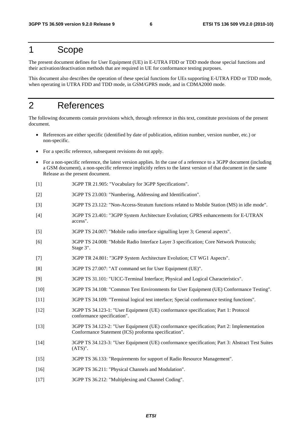## 1 Scope

The present document defines for User Equipment (UE) in E-UTRA FDD or TDD mode those special functions and their activation/deactivation methods that are required in UE for conformance testing purposes.

This document also describes the operation of these special functions for UEs supporting E-UTRA FDD or TDD mode, when operating in UTRA FDD and TDD mode, in GSM/GPRS mode, and in CDMA2000 mode.

# 2 References

The following documents contain provisions which, through reference in this text, constitute provisions of the present document.

- References are either specific (identified by date of publication, edition number, version number, etc.) or non-specific.
- For a specific reference, subsequent revisions do not apply.
- For a non-specific reference, the latest version applies. In the case of a reference to a 3GPP document (including a GSM document), a non-specific reference implicitly refers to the latest version of that document in the same Release as the present document.
- [1] 3GPP TR 21.905: "Vocabulary for 3GPP Specifications".
- [2] 3GPP TS 23.003: "Numbering, Addressing and Identification".
- [3] 3GPP TS 23.122: "Non-Access-Stratum functions related to Mobile Station (MS) in idle mode".
- [4] 3GPP TS 23.401: "3GPP System Architecture Evolution; GPRS enhancements for E-UTRAN access".
- [5] 3GPP TS 24.007: "Mobile radio interface signalling layer 3; General aspects".
- [6] 3GPP TS 24.008: "Mobile Radio Interface Layer 3 specification; Core Network Protocols; Stage 3".
- [7] 3GPP TR 24.801: "3GPP System Architecture Evolution; CT WG1 Aspects".
- [8] 3GPP TS 27.007: "AT command set for User Equipment (UE)".
- [9] 3GPP TS 31.101: "UICC-Terminal Interface; Physical and Logical Characteristics".
- [10] 3GPP TS 34.108: "Common Test Environments for User Equipment (UE) Conformance Testing".
- [11] 3GPP TS 34.109: "Terminal logical test interface; Special conformance testing functions".
- [12] 3GPP TS 34.123-1: "User Equipment (UE) conformance specification; Part 1: Protocol conformance specification".
- [13] 3GPP TS 34.123-2: "User Equipment (UE) conformance specification; Part 2: Implementation Conformance Statement (ICS) proforma specification".
- [14] 3GPP TS 34.123-3: "User Equipment (UE) conformance specification; Part 3: Abstract Test Suites (ATS)".
- [15] 3GPP TS 36.133: "Requirements for support of Radio Resource Management".
- [16] 3GPP TS 36.211: "Physical Channels and Modulation".
- [17] 3GPP TS 36.212: "Multiplexing and Channel Coding".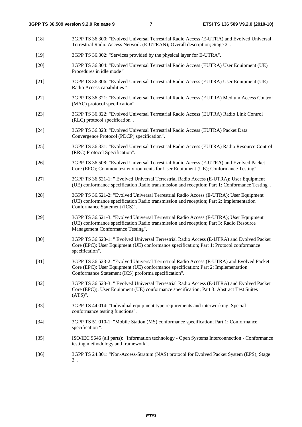[18] 3GPP TS 36.300: "Evolved Universal Terrestrial Radio Access (E-UTRA) and Evolved Universal Terrestrial Radio Access Network (E-UTRAN); Overall description; Stage 2". [19] 3GPP TS 36.302: "Services provided by the physical layer for E-UTRA". [20] 3GPP TS 36.304: "Evolved Universal Terrestrial Radio Access (EUTRA) User Equipment (UE) Procedures in idle mode ". [21] 3GPP TS 36.306: "Evolved Universal Terrestrial Radio Access (EUTRA) User Equipment (UE) Radio Access capabilities ". [22] 3GPP TS 36.321: "Evolved Universal Terrestrial Radio Access (EUTRA) Medium Access Control (MAC) protocol specification". [23] 3GPP TS 36.322: "Evolved Universal Terrestrial Radio Access (EUTRA) Radio Link Control (RLC) protocol specification". [24] 3GPP TS 36.323: "Evolved Universal Terrestrial Radio Access (EUTRA) Packet Data Convergence Protocol (PDCP) specification". [25] 3GPP TS 36.331: "Evolved Universal Terrestrial Radio Access (EUTRA) Radio Resource Control (RRC) Protocol Specification". [26] 3GPP TS 36.508: "Evolved Universal Terrestrial Radio Access (E-UTRA) and Evolved Packet Core (EPC); Common test environments for User Equipment (UE); Conformance Testing". [27] 3GPP TS 36.521-1: " Evolved Universal Terrestrial Radio Access (E-UTRA); User Equipment (UE) conformance specification Radio transmission and reception; Part 1: Conformance Testing". [28] 3GPP TS 36.521-2: "Evolved Universal Terrestrial Radio Access (E-UTRA); User Equipment (UE) conformance specification Radio transmission and reception; Part 2: Implementation Conformance Statement (ICS)". [29] 3GPP TS 36.521-3: "Evolved Universal Terrestrial Radio Access (E-UTRA); User Equipment (UE) conformance specification Radio transmission and reception; Part 3: Radio Resource Management Conformance Testing". [30] 3GPP TS 36.523-1: " Evolved Universal Terrestrial Radio Access (E-UTRA) and Evolved Packet Core (EPC); User Equipment (UE) conformance specification; Part 1: Protocol conformance specification". [31] 3GPP TS 36.523-2: "Evolved Universal Terrestrial Radio Access (E-UTRA) and Evolved Packet Core (EPC); User Equipment (UE) conformance specification; Part 2: Implementation Conformance Statement (ICS) proforma specification". [32] 3GPP TS 36.523-3: " Evolved Universal Terrestrial Radio Access (E-UTRA) and Evolved Packet Core (EPC)); User Equipment (UE) conformance specification; Part 3: Abstract Test Suites (ATS)". [33] 3GPP TS 44.014: "Individual equipment type requirements and interworking; Special conformance testing functions". [34] 3GPP TS 51.010-1: "Mobile Station (MS) conformance specification; Part 1: Conformance specification ". [35] ISO/IEC 9646 (all parts): "Information technology - Open Systems Interconnection - Conformance testing methodology and framework". [36] 3GPP TS 24.301: "Non-Access-Stratum (NAS) protocol for Evolved Packet System (EPS); Stage 3".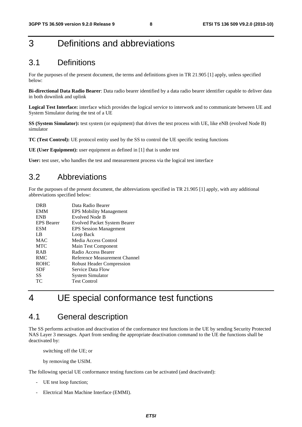# 3 Definitions and abbreviations

### 3.1 Definitions

For the purposes of the present document, the terms and definitions given in TR 21.905 [1] apply, unless specified below:

**Bi-directional Data Radio Bearer**: Data radio bearer identified by a data radio bearer identifier capable to deliver data in both downlink and uplink

**Logical Test Interface:** interface which provides the logical service to interwork and to communicate between UE and System Simulator during the test of a UE

**SS (System Simulator):** test system (or equipment) that drives the test process with UE, like eNB (evolved Node B) simulator

**TC (Test Control):** UE protocol entity used by the SS to control the UE specific testing functions

**UE (User Equipment):** user equipment as defined in [1] that is under test

User: test user, who handles the test and measurement process via the logical test interface

### 3.2 Abbreviations

For the purposes of the present document, the abbreviations specified in TR 21.905 [1] apply, with any additional abbreviations specified below:

| <b>DRB</b>        | Data Radio Bearer                   |
|-------------------|-------------------------------------|
| <b>EMM</b>        | <b>EPS Mobility Management</b>      |
| <b>ENB</b>        | Evolved Node B                      |
| <b>EPS</b> Bearer | <b>Evolved Packet System Bearer</b> |
| <b>ESM</b>        | <b>EPS Session Management</b>       |
| LB.               | Loop Back                           |
| <b>MAC</b>        | Media Access Control                |
| <b>MTC</b>        | Main Test Component                 |
| <b>RAB</b>        | Radio Access Bearer                 |
| <b>RMC</b>        | Reference Measurement Channel       |
| <b>ROHC</b>       | <b>Robust Header Compression</b>    |
| <b>SDF</b>        | Service Data Flow                   |
| SS                | <b>System Simulator</b>             |
| ТC                | <b>Test Control</b>                 |
|                   |                                     |

# 4 UE special conformance test functions

### 4.1 General description

The SS performs activation and deactivation of the conformance test functions in the UE by sending Security Protected NAS Layer 3 messages. Apart from sending the appropriate deactivation command to the UE the functions shall be deactivated by:

switching off the UE; or

by removing the USIM.

The following special UE conformance testing functions can be activated (and deactivated):

- UE test loop function;
- Electrical Man Machine Interface (EMMI).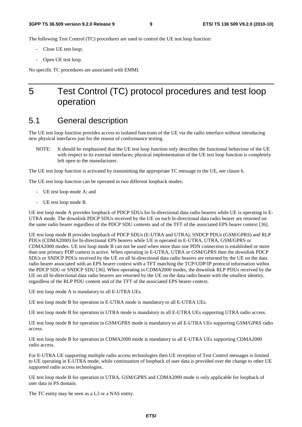The following Test Control (TC) procedures are used to control the UE test loop function:

- Close UE test loop;
- Open UE test loop.

No specific TC procedures are associated with EMMI.

# 5 Test Control (TC) protocol procedures and test loop operation

### 5.1 General description

The UE test loop function provides access to isolated functions of the UE via the radio interface without introducing new physical interfaces just for the reason of conformance testing.

NOTE: It should be emphasised that the UE test loop function only describes the functional behaviour of the UE with respect to its external interfaces; physical implementation of the UE test loop function is completely left open to the manufacturer.

The UE test loop function is activated by transmitting the appropriate TC message to the UE, see clause 6.

The UE test loop function can be operated in two different loopback modes:

- UE test loop mode A; and
- UE test loop mode B.

UE test loop mode A provides loopback of PDCP SDUs for bi-directional data radio bearers while UE is operating in E-UTRA mode. The downlink PDCP SDUs received by the UE on each bi-directional data radio bearer are returned on the same radio bearer regardless of the PDCP SDU contents and of the TFT of the associated EPS bearer context [36].

UE test loop mode B provides loopback of PDCP SDUs (E-UTRA and UTRA), SNDCP PDUs (GSM/GPRS) and RLP PDUs (CDMA2000) for bi-directional EPS bearers while UE is operated in E-UTRA, UTRA, GSM/GPRS or CDMA2000 modes. UE test loop mode B can not be used when more than one PDN connection is established or more than one primary PDP context is active. When operating in E-UTRA, UTRA or GSM/GPRS then the downlink PDCP SDUs or SNDCP PDUs received by the UE on all bi-directional data radio bearers are returned by the UE on the data radio bearer associated with an EPS bearer context with a TFT matching the TCP/UDP/IP protocol information within the PDCP SDU or SNDCP SDU [36]. When operating in CDMA2000 modes, the downlink RLP PDUs received by the UE on all bi-directional data radio bearers are returned by the UE on the data radio bearer with the smallest identity, regardless of the RLP PDU content and of the TFT of the associated EPS bearer context.

UE test loop mode A is mandatory to all E-UTRA UEs.

UE test loop mode B for operation in E-UTRA mode is mandatory to all E-UTRA UEs.

UE test loop mode B for operation in UTRA mode is mandatory to all E-UTRA UEs supporting UTRA radio access.

UE test loop mode B for operation in GSM/GPRS mode is mandatory to all E-UTRA UEs supporting GSM/GPRS radio access.

UE test loop mode B for operation in CDMA2000 mode is mandatory to all E-UTRA UEs supporting CDMA2000 radio access.

For E-UTRA UE supporting multiple radio access technologies then UE reception of Test Control messages is limited to UE operating in E-UTRA mode, while continuation of loopback of user data is provided over the change to other UE supported radio access technologies.

UE test loop mode B for operation in UTRA, GSM/GPRS and CDMA2000 mode is only applicable for loopback of user data in PS domain.

The TC entity may be seen as a L3 or a NAS entity.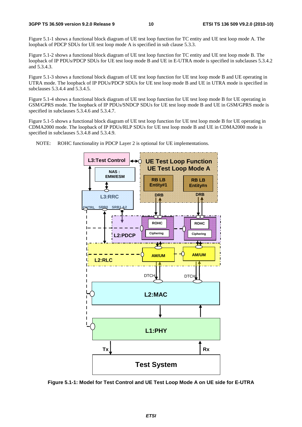Figure 5.1-1 shows a functional block diagram of UE test loop function for TC entity and UE test loop mode A. The loopback of PDCP SDUs for UE test loop mode A is specified in sub clause 5.3.3.

Figure 5.1-2 shows a functional block diagram of UE test loop function for TC entity and UE test loop mode B. The loopback of IP PDUs/PDCP SDUs for UE test loop mode B and UE in E-UTRA mode is specified in subclauses 5.3.4.2 and 5.3.4.3.

Figure 5.1-3 shows a functional block diagram of UE test loop function for UE test loop mode B and UE operating in UTRA mode. The loopback of IP PDUs/PDCP SDUs for UE test loop mode B and UE in UTRA mode is specified in subclauses 5.3.4.4 and 5.3.4.5.

Figure 5.1-4 shows a functional block diagram of UE test loop function for UE test loop mode B for UE operating in GSM/GPRS mode. The loopback of IP PDUs/SNDCP SDUs for UE test loop mode B and UE in GSM/GPRS mode is specified in subclauses 5.3.4.6 and 5.3.4.7.

Figure 5.1-5 shows a functional block diagram of UE test loop function for UE test loop mode B for UE operating in CDMA2000 mode. The loopback of IP PDUs/RLP SDUs for UE test loop mode B and UE in CDMA2000 mode is specified in subclauses 5.3.4.8 and 5.3.4.9.



NOTE: ROHC functionality in PDCP Layer 2 is optional for UE implementations.

**Figure 5.1-1: Model for Test Control and UE Test Loop Mode A on UE side for E-UTRA**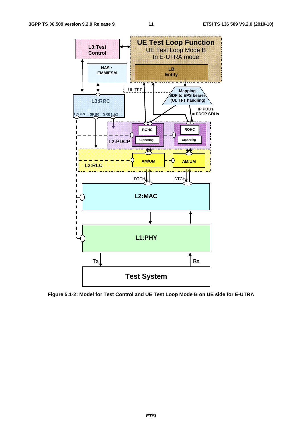

**Figure 5.1-2: Model for Test Control and UE Test Loop Mode B on UE side for E-UTRA**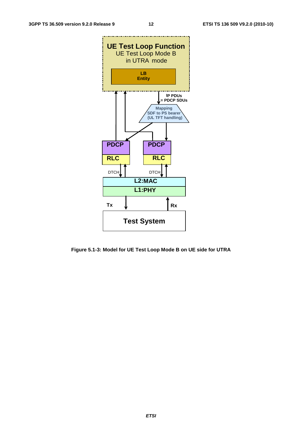

**Figure 5.1-3: Model for UE Test Loop Mode B on UE side for UTRA**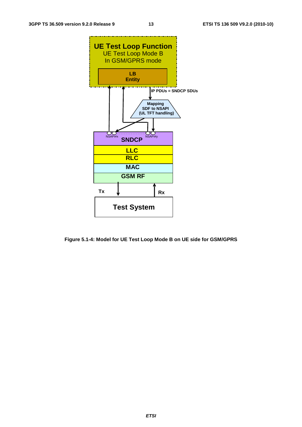

**Figure 5.1-4: Model for UE Test Loop Mode B on UE side for GSM/GPRS**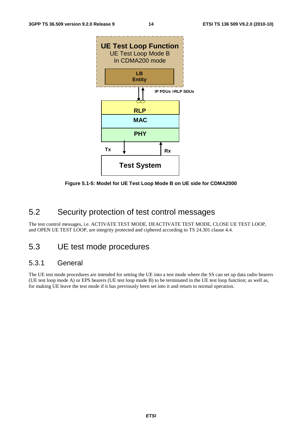

**Figure 5.1-5: Model for UE Test Loop Mode B on UE side for CDMA2000** 

### 5.2 Security protection of test control messages

The test control messages, i.e. ACTIVATE TEST MODE, DEACTIVATE TEST MODE, CLOSE UE TEST LOOP, and OPEN UE TEST LOOP, are integrity protected and ciphered according to TS 24.301 clause 4.4.

### 5.3 UE test mode procedures

### 5.3.1 General

The UE test mode procedures are intended for setting the UE into a test mode where the SS can set up data radio bearers (UE test loop mode A) or EPS bearers (UE test loop mode B) to be terminated in the UE test loop function; as well as, for making UE leave the test mode if it has previously been set into it and return to normal operation.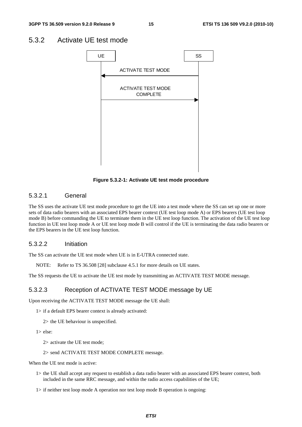### 5.3.2 Activate UE test mode



**Figure 5.3.2-1: Activate UE test mode procedure** 

### 5.3.2.1 General

The SS uses the activate UE test mode procedure to get the UE into a test mode where the SS can set up one or more sets of data radio bearers with an associated EPS bearer context (UE test loop mode A) or EPS bearers (UE test loop mode B) before commanding the UE to terminate them in the UE test loop function. The activation of the UE test loop function in UE test loop mode A or UE test loop mode B will control if the UE is terminating the data radio bearers or the EPS bearers in the UE test loop function.

#### 5.3.2.2 Initiation

The SS can activate the UE test mode when UE is in E-UTRA connected state.

NOTE: Refer to TS 36.508 [28] subclause 4.5.1 for more details on UE states.

The SS requests the UE to activate the UE test mode by transmitting an ACTIVATE TEST MODE message.

#### 5.3.2.3 Reception of ACTIVATE TEST MODE message by UE

Upon receiving the ACTIVATE TEST MODE message the UE shall:

- 1> if a default EPS bearer context is already activated:
	- 2> the UE behaviour is unspecified.
- 1> else:
	- 2> activate the UE test mode;
	- 2> send ACTIVATE TEST MODE COMPLETE message.

When the UE test mode is active:

- 1> the UE shall accept any request to establish a data radio bearer with an associated EPS bearer context, both included in the same RRC message, and within the radio access capabilities of the UE;
- 1> if neither test loop mode A operation nor test loop mode B operation is ongoing: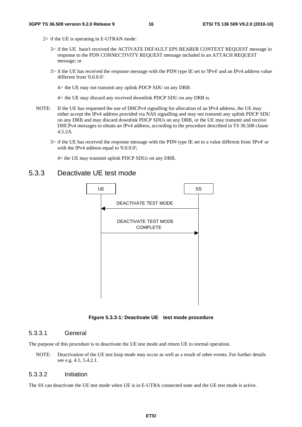- 2> if the UE is operating in E-UTRAN mode:
	- 3> if the UE hasn't received the ACTIVATE DEFAULT EPS BEARER CONTEXT REQUEST message in response to the PDN CONNECTIVITY REQUEST message included in an ATTACH REQUEST message; or
	- 3> if the UE has received the response message with the PDN type IE set to 'IPv4' and an IPv4 address value different from '0.0.0.0':

4> the UE may not transmit any uplink PDCP SDU on any DRB:

4> the UE may discard any received downlink PDCP SDU on any DRB is.

- NOTE: If the UE has requested the use of DHCPv4 signalling for allocation of an IPv4 address, the UE may either accept the IPv4 address provided via NAS signalling and may not transmit any uplink PDCP SDU on any DRB and may discard downlink PDCP SDUs on any DRB, or the UE may transmit and receive DHCPv4 messages to obtain an IPv4 address, according to the procedure described in TS 36.508 clause 4.5.2A.
	- 3> if the UE has received the response message with the PDN type IE set to a value different from 'IPv4' or with the IPv4 address equal to '0.0.0.0';

4> the UE may transmit uplink PDCP SDUs on any DRB.

### 5.3.3 Deactivate UE test mode



**Figure 5.3.3-1: Deactivate UE test mode procedure** 

#### 5.3.3.1 General

The purpose of this procedure is to deactivate the UE test mode and return UE to normal operation.

NOTE: Deactivation of the UE test loop mode may occur as well as a result of other events. For further details see e.g. 4.1, 5.4.2.1.

#### 5.3.3.2 Initiation

The SS can deactivate the UE test mode when UE is in E-UTRA connected state and the UE test mode is active.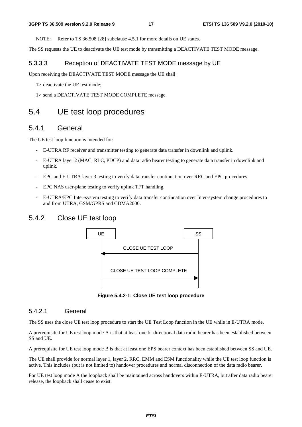NOTE: Refer to TS 36.508 [28] subclause 4.5.1 for more details on UE states.

The SS requests the UE to deactivate the UE test mode by transmitting a DEACTIVATE TEST MODE message.

#### 5.3.3.3 Reception of DEACTIVATE TEST MODE message by UE

Upon receiving the DEACTIVATE TEST MODE message the UE shall:

- 1> deactivate the UE test mode;
- 1> send a DEACTIVATE TEST MODE COMPLETE message.

### 5.4 UE test loop procedures

### 5.4.1 General

The UE test loop function is intended for:

- E-UTRA RF receiver and transmitter testing to generate data transfer in downlink and uplink.
- E-UTRA layer 2 (MAC, RLC, PDCP) and data radio bearer testing to generate data transfer in downlink and uplink.
- EPC and E-UTRA layer 3 testing to verify data transfer continuation over RRC and EPC procedures.
- EPC NAS user-plane testing to verify uplink TFT handling.
- E-UTRA/EPC Inter-system testing to verify data transfer continuation over Inter-system change procedures to and from UTRA, GSM/GPRS and CDMA2000.

### 5.4.2 Close UE test loop



**Figure 5.4.2-1: Close UE test loop procedure** 

#### 5.4.2.1 General

The SS uses the close UE test loop procedure to start the UE Test Loop function in the UE while in E-UTRA mode.

A prerequisite for UE test loop mode A is that at least one bi-directional data radio bearer has been established between SS and UE.

A prerequisite for UE test loop mode B is that at least one EPS bearer context has been established between SS and UE.

The UE shall provide for normal layer 1, layer 2, RRC, EMM and ESM functionality while the UE test loop function is active. This includes (but is not limited to) handover procedures and normal disconnection of the data radio bearer.

For UE test loop mode A the loopback shall be maintained across handovers within E-UTRA, but after data radio bearer release, the loopback shall cease to exist.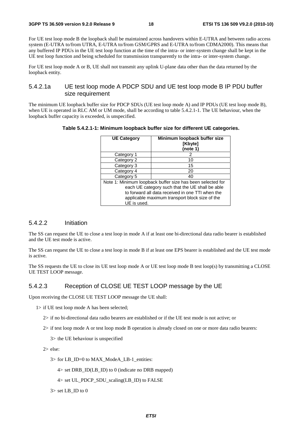For UE test loop mode B the loopback shall be maintained across handovers within E-UTRA and between radio access system (E-UTRA to/from UTRA, E-UTRA to/from GSM/GPRS and E-UTRA to/from CDMA2000). This means that any buffered IP PDUs in the UE test loop function at the time of the intra- or inter-system change shall be kept in the UE test loop function and being scheduled for transmission transparently to the intra- or inter-system change.

For UE test loop mode A or B, UE shall not transmit any uplink U-plane data other than the data returned by the loopback entity.

### 5.4.2.1a UE test loop mode A PDCP SDU and UE test loop mode B IP PDU buffer size requirement

The minimum UE loopback buffer size for PDCP SDUs (UE test loop mode A) and IP PDUs (UE test loop mode B), when UE is operated in RLC AM or UM mode, shall be according to table 5.4.2.1-1. The UE behaviour, when the loopback buffer capacity is exceeded, is unspecified.

| <b>UE Category</b> | Minimum loopback buffer size<br>[Kbyte]<br>(note 1)                                                                                                                                                                 |
|--------------------|---------------------------------------------------------------------------------------------------------------------------------------------------------------------------------------------------------------------|
| Category 1         |                                                                                                                                                                                                                     |
| Category 2         | 10                                                                                                                                                                                                                  |
| Category 3         | 15                                                                                                                                                                                                                  |
| Category 4         | 20                                                                                                                                                                                                                  |
| Category 5         | 40                                                                                                                                                                                                                  |
| UE is used.        | Note 1: Minimum loopback buffer size has been selected for<br>each UE category such that the UE shall be able<br>to forward all data received in one TTI when the<br>applicable maximum transport block size of the |

**Table 5.4.2.1-1: Minimum loopback buffer size for different UE categories.** 

#### 5.4.2.2 Initiation

The SS can request the UE to close a test loop in mode A if at least one bi-directional data radio bearer is established and the UE test mode is active.

The SS can request the UE to close a test loop in mode B if at least one EPS bearer is established and the UE test mode is active.

The SS requests the UE to close its UE test loop mode A or UE test loop mode B test loop(s) by transmitting a CLOSE UE TEST LOOP message.

### 5.4.2.3 Reception of CLOSE UE TEST LOOP message by the UE

Upon receiving the CLOSE UE TEST LOOP message the UE shall:

- 1> if UE test loop mode A has been selected;
	- 2> if no bi-directional data radio bearers are established or if the UE test mode is not active; or
	- 2> if test loop mode A or test loop mode B operation is already closed on one or more data radio bearers:

3> the UE behaviour is unspecified

2> else:

3> for LB\_ID=0 to MAX\_ModeA\_LB-1\_entities:

 $4>$  set DRB ID(LB ID) to 0 (indicate no DRB mapped)

- $4>$  set UL\_PDCP\_SDU\_scaling(LB\_ID) to FALSE
- 3> set LB\_ID to 0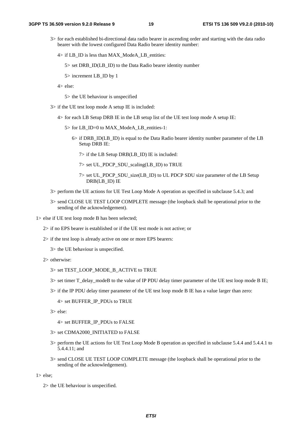- 3> for each established bi-directional data radio bearer in ascending order and starting with the data radio bearer with the lowest configured Data Radio bearer identity number:
	- 4> if LB\_ID is less than MAX\_ModeA\_LB\_entities:

5> set DRB\_ID(LB\_ID) to the Data Radio bearer identity number

5> increment LB\_ID by 1

4> else:

5> the UE behaviour is unspecified

- 3> if the UE test loop mode A setup IE is included:
	- 4> for each LB Setup DRB IE in the LB setup list of the UE test loop mode A setup IE:
		- 5> for LB\_ID=0 to MAX\_ModeA\_LB\_entities-1:
			- 6> if DRB\_ID(LB\_ID) is equal to the Data Radio bearer identity number parameter of the LB Setup DRB IE:
				- 7> if the LB Setup DRB(LB\_ID) IE is included:
				- 7> set UL\_PDCP\_SDU\_scaling(LB\_ID) to TRUE
				- 7> set UL\_PDCP\_SDU\_size(LB\_ID) to UL PDCP SDU size parameter of the LB Setup DRB(LB\_ID) IE
- 3> perform the UE actions for UE Test Loop Mode A operation as specified in subclause 5.4.3; and
- 3> send CLOSE UE TEST LOOP COMPLETE message (the loopback shall be operational prior to the sending of the acknowledgement).
- 1> else if UE test loop mode B has been selected;
	- 2> if no EPS bearer is established or if the UE test mode is not active; or
	- 2> if the test loop is already active on one or more EPS bearers:
		- 3> the UE behaviour is unspecified.
	- 2> otherwise:
		- 3> set TEST\_LOOP\_MODE\_B\_ACTIVE to TRUE
		- $3$  set timer T\_delay\_modeB to the value of IP PDU delay timer parameter of the UE test loop mode B IE;
		- 3> if the IP PDU delay timer parameter of the UE test loop mode B IE has a value larger than zero:
			- 4> set BUFFER\_IP\_PDUs to TRUE
		- 3> else:

4> set BUFFER\_IP\_PDUs to FALSE

- 3> set CDMA2000\_INITIATED to FALSE
- 3> perform the UE actions for UE Test Loop Mode B operation as specified in subclause 5.4.4 and 5.4.4.1 to 5.4.4.11; and
- 3> send CLOSE UE TEST LOOP COMPLETE message (the loopback shall be operational prior to the sending of the acknowledgement).

1> else;

2> the UE behaviour is unspecified.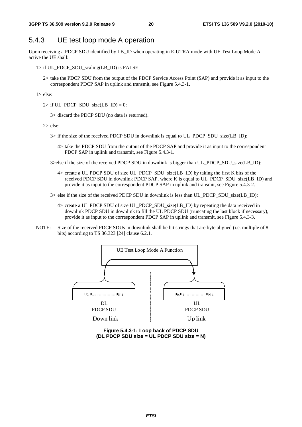### 5.4.3 UE test loop mode A operation

Upon receiving a PDCP SDU identified by LB\_ID when operating in E-UTRA mode with UE Test Loop Mode A active the UE shall:

- 1> if UL\_PDCP\_SDU\_scaling(LB\_ID) is FALSE:
	- 2> take the PDCP SDU from the output of the PDCP Service Access Point (SAP) and provide it as input to the correspondent PDCP SAP in uplink and transmit, see Figure 5.4.3-1.

1> else:

 $2>$  if UL\_PDCP\_SDU\_size(LB\_ID) = 0:

3> discard the PDCP SDU (no data is returned).

2> else:

- 3> if the size of the received PDCP SDU in downlink is equal to UL\_PDCP\_SDU\_size(LB\_ID):
	- 4> take the PDCP SDU from the output of the PDCP SAP and provide it as input to the correspondent PDCP SAP in uplink and transmit, see Figure 5.4.3-1.

3>else if the size of the received PDCP SDU in downlink is bigger than UL\_PDCP\_SDU\_size(LB\_ID):

- 4> create a UL PDCP SDU of size UL\_PDCP\_SDU\_size(LB\_ID) by taking the first K bits of the received PDCP SDU in downlink PDCP SAP, where K is equal to UL\_PDCP\_SDU\_size(LB\_ID) and provide it as input to the correspondent PDCP SAP in uplink and transmit, see Figure 5.4.3-2.
- $3$  else if the size of the received PDCP SDU in downlink is less than UL\_PDCP\_SDU\_size(LB\_ID):
	- 4> create a UL PDCP SDU of size UL\_PDCP\_SDU\_size(LB\_ID) by repeating the data received in downlink PDCP SDU in downlink to fill the UL PDCP SDU (truncating the last block if necessary), provide it as input to the correspondent PDCP SAP in uplink and transmit, see Figure 5.4.3-3.
- NOTE: Size of the received PDCP SDUs in downlink shall be bit strings that are byte aligned (i.e. multiple of 8 bits) according to TS 36.323 [24] clause 6.2.1.



**Figure 5.4.3-1: Loop back of PDCP SDU (DL PDCP SDU size = UL PDCP SDU size = N)**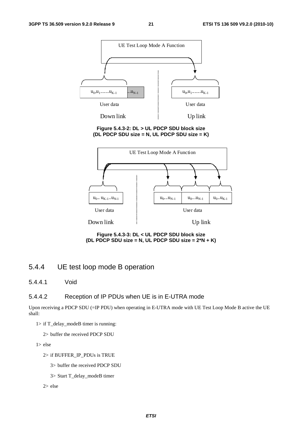

#### **Figure 5.4.3-2: DL > UL PDCP SDU block size (DL PDCP SDU size = N, UL PDCP SDU size = K)**



**Figure 5.4.3-3: DL < UL PDCP SDU block size (DL PDCP SDU size = N, UL PDCP SDU size = 2\*N + K)** 

### 5.4.4 UE test loop mode B operation

5.4.4.1 Void

### 5.4.4.2 Reception of IP PDUs when UE is in E-UTRA mode

Upon receiving a PDCP SDU (=IP PDU) when operating in E-UTRA mode with UE Test Loop Mode B active the UE shall:

1> if T\_delay\_modeB timer is running:

2> buffer the received PDCP SDU

1> else

2> if BUFFER\_IP\_PDUs is TRUE

3> buffer the received PDCP SDU

- 3> Start T\_delay\_modeB timer
- 2> else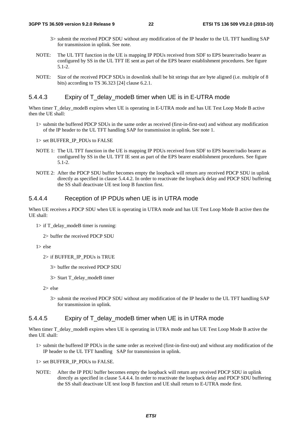- 3> submit the received PDCP SDU without any modification of the IP header to the UL TFT handling SAP for transmission in uplink. See note.
- NOTE: The UL TFT function in the UE is mapping IP PDUs received from SDF to EPS bearer/radio bearer as configured by SS in the UL TFT IE sent as part of the EPS bearer establishment procedures. See figure 5.1-2.
- NOTE: Size of the received PDCP SDUs in downlink shall be bit strings that are byte aligned (i.e. multiple of 8 bits) according to TS 36.323 [24] clause 6.2.1.

#### 5.4.4.3 Expiry of T\_delay\_modeB timer when UE is in E-UTRA mode

When timer T\_delay\_modeB expires when UE is operating in E-UTRA mode and has UE Test Loop Mode B active then the UE shall:

1> submit the buffered PDCP SDUs in the same order as received (first-in-first-out) and without any modification of the IP header to the UL TFT handling SAP for transmission in uplink. See note 1.

1> set BUFFER\_IP\_PDUs to FALSE

- NOTE 1: The UL TFT function in the UE is mapping IP PDUs received from SDF to EPS bearer/radio bearer as configured by SS in the UL TFT IE sent as part of the EPS bearer establishment procedures. See figure 5.1-2.
- NOTE 2: After the PDCP SDU buffer becomes empty the loopback will return any received PDCP SDU in uplink directly as specified in clause 5.4.4.2. In order to reactivate the loopback delay and PDCP SDU buffering the SS shall deactivate UE test loop B function first.

#### 5.4.4.4 Reception of IP PDUs when UE is in UTRA mode

When UE receives a PDCP SDU when UE is operating in UTRA mode and has UE Test Loop Mode B active then the UE shall:

 $1>$  if T\_delay\_modeB timer is running:

2> buffer the received PDCP SDU

1> else

2> if BUFFER\_IP\_PDUs is TRUE

- 3> buffer the received PDCP SDU
- 3> Start T\_delay\_modeB timer

2> else

3> submit the received PDCP SDU without any modification of the IP header to the UL TFT handling SAP for transmission in uplink.

#### 5.4.4.5 Expiry of T\_delay\_modeB timer when UE is in UTRA mode

When timer T\_delay\_modeB expires when UE is operating in UTRA mode and has UE Test Loop Mode B active the then UE shall:

1> submit the buffered IP PDUs in the same order as received (first-in-first-out) and without any modification of the IP header to the UL TFT handling SAP for transmission in uplink.

1> set BUFFER\_IP\_PDUs to FALSE.

NOTE: After the IP PDU buffer becomes empty the loopback will return any received PDCP SDU in uplink directly as specified in clause 5.4.4.4. In order to reactivate the loopback delay and PDCP SDU buffering the SS shall deactivate UE test loop B function and UE shall return to E-UTRA mode first.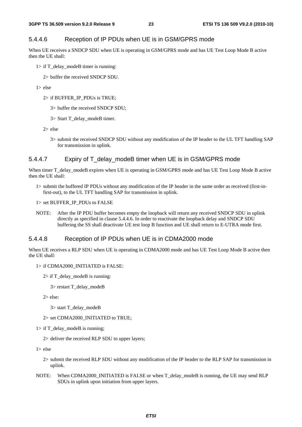### 5.4.4.6 Reception of IP PDUs when UE is in GSM/GPRS mode

When UE receives a SNDCP SDU when UE is operating in GSM/GPRS mode and has UE Test Loop Mode B active then the UE shall:

- $1>$  if T\_delay\_modeB timer is running:
	- 2> buffer the received SNDCP SDU.
- $1 > e$ lse
	- 2> if BUFFER\_IP\_PDUs is TRUE;
		- 3> buffer the received SNDCP SDU;
		- 3> Start T\_delay\_modeB timer.
	- 2> else
		- 3> submit the received SNDCP SDU without any modification of the IP header to the UL TFT handling SAP for transmission in uplink.

#### 5.4.4.7 Expiry of T\_delay\_modeB timer when UE is in GSM/GPRS mode

When timer T\_delay\_modeB expires when UE is operating in GSM/GPRS mode and has UE Test Loop Mode B active then the UE shall:

1> submit the buffered IP PDUs without any modification of the IP header in the same order as received (first-infirst-out), to the UL TFT handling SAP for transmission in uplink.

1> set BUFFER\_IP\_PDUs to FALSE

NOTE: After the IP PDU buffer becomes empty the loopback will return any received SNDCP SDU in uplink directly as specified in clause 5.4.4.6. In order to reactivate the loopback delay and SNDCP SDU buffering the SS shall deactivate UE test loop B function and UE shall return to E-UTRA mode first.

#### 5.4.4.8 Reception of IP PDUs when UE is in CDMA2000 mode

When UE receives a RLP SDU when UE is operating in CDMA2000 mode and has UE Test Loop Mode B active then the UE shall:

- 1> if CDMA2000\_INITIATED is FALSE:
	- $2>$  if T\_delay\_modeB is running:

3> restart T\_delay\_modeB

2> else:

3> start T\_delay\_modeB

2> set CDMA2000\_INITIATED to TRUE;

1> if T\_delay\_modeB is running;

2> deliver the received RLP SDU to upper layers;

1> else

- 2> submit the received RLP SDU without any modification of the IP header to the RLP SAP for transmission in uplink.
- NOTE: When CDMA2000\_INITIATED is FALSE or when T\_delay\_modeB is running, the UE may send RLP SDUs in uplink upon initiation from upper layers.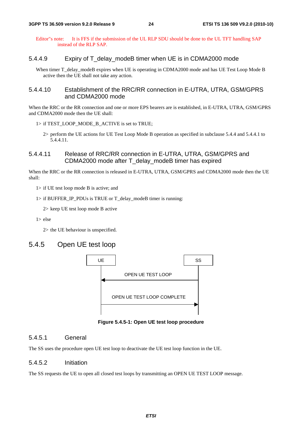Editor"s note: It is FFS if the submission of the UL RLP SDU should be done to the UL TFT handling SAP instead of the RLP SAP.

#### 5.4.4.9 Expiry of T\_delay\_modeB timer when UE is in CDMA2000 mode

When timer T\_delay\_modeB expires when UE is operating in CDMA2000 mode and has UE Test Loop Mode B active then the UE shall not take any action.

#### 5.4.4.10 Establishment of the RRC/RR connection in E-UTRA, UTRA, GSM/GPRS and CDMA2000 mode

When the RRC or the RR connection and one or more EPS bearers are is established, in E-UTRA, UTRA, GSM/GPRS and CDMA2000 mode then the UE shall:

- 1> if TEST\_LOOP\_MODE\_B\_ACTIVE is set to TRUE;
	- 2> perform the UE actions for UE Test Loop Mode B operation as specified in subclause 5.4.4 and 5.4.4.1 to 5.4.4.11.

### 5.4.4.11 Release of RRC/RR connection in E-UTRA, UTRA, GSM/GPRS and CDMA2000 mode after T\_delay\_modeB timer has expired

When the RRC or the RR connection is released in E-UTRA, UTRA, GSM/GPRS and CDMA2000 mode then the UE shall:

1> if UE test loop mode B is active; and

1> if BUFFER\_IP\_PDUs is TRUE or T\_delay\_modeB timer is running:

2> keep UE test loop mode B active

1> else

2> the UE behaviour is unspecified.

### 5.4.5 Open UE test loop



**Figure 5.4.5-1: Open UE test loop procedure** 

#### 5.4.5.1 General

The SS uses the procedure open UE test loop to deactivate the UE test loop function in the UE.

#### 5.4.5.2 Initiation

The SS requests the UE to open all closed test loops by transmitting an OPEN UE TEST LOOP message.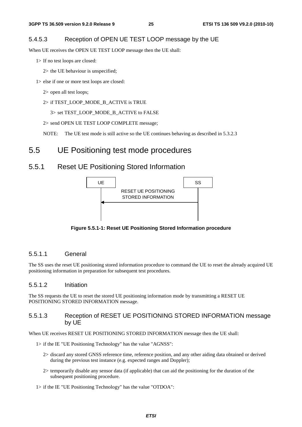### 5.4.5.3 Reception of OPEN UE TEST LOOP message by the UE

When UE receives the OPEN UE TEST LOOP message then the UE shall:

1> If no test loops are closed:

2> the UE behaviour is unspecified;

- 1> else if one or more test loops are closed:
	- 2> open all test loops;
	- 2> if TEST\_LOOP\_MODE\_B\_ACTIVE is TRUE

3> set TEST\_LOOP\_MODE\_B\_ACTIVE to FALSE

2> send OPEN UE TEST LOOP COMPLETE message;

NOTE: The UE test mode is still active so the UE continues behaving as described in 5.3.2.3

### 5.5 UE Positioning test mode procedures

### 5.5.1 Reset UE Positioning Stored Information



**Figure 5.5.1-1: Reset UE Positioning Stored Information procedure** 

### 5.5.1.1 General

The SS uses the reset UE positioning stored information procedure to command the UE to reset the already acquired UE positioning information in preparation for subsequent test procedures.

#### 5.5.1.2 Initiation

The SS requests the UE to reset the stored UE positioning information mode by transmitting a RESET UE POSITIONING STORED INFORMATION message.

#### 5.5.1.3 Reception of RESET UE POSITIONING STORED INFORMATION message by UE

When UE receives RESET UE POSITIONING STORED INFORMATION message then the UE shall:

- 1> if the IE "UE Positioning Technology" has the value "AGNSS":
	- 2> discard any stored GNSS reference time, reference position, and any other aiding data obtained or derived during the previous test instance (e.g. expected ranges and Doppler);
	- 2> temporarily disable any sensor data (if applicable) that can aid the positioning for the duration of the subsequent positioning procedure.
- 1> if the IE "UE Positioning Technology" has the value "OTDOA":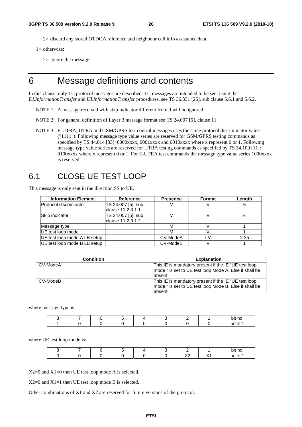2> discard any stored OTDOA reference and neighbour cell info assistance data.

1> otherwise:

2> ignore the message.

## 6 Message definitions and contents

In this clause, only TC protocol messages are described. TC messages are intended to be sent using the *DLInformationTransfer* and *ULInformationTransfer* procedures, see TS 36.331 [25], sub clause 5.6.1 and 5.6.2.

- NOTE 1: A message received with skip indicator different from 0 will be ignored.
- NOTE 2: For general definition of Layer 3 message format see TS 24.007 [5], clause 11.
- NOTE 3: E-UTRA, UTRA and GSM/GPRS test control messages uses the same protocol discriminator value ("1111"). Following message type value series are reserved for GSM/GPRS testing commands as specified by TS 44.014 [33]: 0000xxxx, 0001xxxx and 0010xxxx where x represent 0 or 1. Following message type value series are reserved for UTRA testing commands as specified by TS 34.109 [11]: 0100xxxx where x represent 0 or 1. For E-UTRA test commands the message type value series 1000xxxx is reserved.

### 6.1 CLOSE UE TEST LOOP

This message is only sent in the direction SS to UE.

| <b>Information Element</b>    | Reference                               | <b>Presence</b> | Format | Length        |
|-------------------------------|-----------------------------------------|-----------------|--------|---------------|
| <b>Protocol discriminator</b> | TS 24.007 [5], sub<br>clause 11.2.3.1.1 | м               |        | $\frac{1}{2}$ |
| Skip indicator                | TS 24.007 [5], sub<br>clause 11.2.3.1.2 | М               |        | $\frac{1}{2}$ |
| Message type                  |                                         | м               |        |               |
| UE test loop mode             |                                         | м               |        |               |
| UE test loop mode A LB setup  |                                         | CV-ModeA        |        | $1 - 25$      |
| UE test loop mode B LB setup  |                                         | CV-ModeB        |        |               |

| <b>Condition</b> | <b>Explanation</b>                                                                                                        |
|------------------|---------------------------------------------------------------------------------------------------------------------------|
| CV-ModeA         | This IE is mandatory present if the IE "UE test loop<br>mode " is set to UE test loop Mode A. Else it shall be<br>absent. |
| CV-ModeB         | This IE is mandatory present if the IE "UE test loop<br>mode " is set to UE test loop Mode B. Else it shall be<br>absent. |

where message type is:

|  |  |  |  | bit no. |
|--|--|--|--|---------|
|  |  |  |  | ∩∩tet   |

where UE test loop mode is:

|  |  |  |                     |                 | bit no. |
|--|--|--|---------------------|-----------------|---------|
|  |  |  | $\lambda$<br>$\sim$ | $\cdot$ $\cdot$ | ∩∩tet   |

X2=0 and X1=0 then UE test loop mode A is selected.

X2=0 and X1=1 then UE test loop mode B is selected.

Other combinations of X1 and X2 are reserved for future versions of the protocol.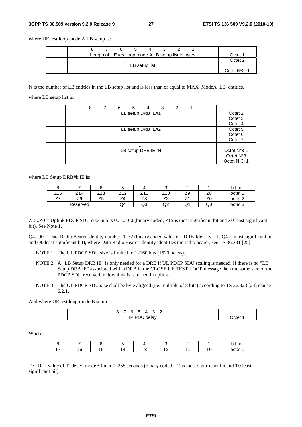#### **3GPP TS 36.509 version 9.2.0 Release 9 27 ETSI TS 136 509 V9.2.0 (2010-10)**

where UE test loop mode A LB setup is:

| Length of UE test loop mode A LB setup list in bytes | - Octet 1 |               |  |  |  |                |
|------------------------------------------------------|-----------|---------------|--|--|--|----------------|
|                                                      |           | LB setup list |  |  |  | Octet 2        |
|                                                      |           |               |  |  |  | Octet $N^*3+1$ |

N is the number of LB entities in the LB setup list and is less than or equal to MAX\_ModeA\_LB\_entities.

where LB setup list is:

| 8 | 6 | 5                 | 4        | 3 | 2 |  |                          |
|---|---|-------------------|----------|---|---|--|--------------------------|
|   |   | LB setup DRB IE#1 |          |   |   |  | Octet 2                  |
|   |   |                   |          |   |   |  | Octet <sub>3</sub>       |
|   |   |                   |          |   |   |  | Octet 4                  |
|   |   | LB setup DRB IE#2 |          |   |   |  | Octet <sub>5</sub>       |
|   |   |                   |          |   |   |  | Octet <sub>6</sub>       |
|   |   |                   |          |   |   |  | Octet 7                  |
|   |   |                   | $\cdots$ |   |   |  |                          |
|   |   | LB setup DRB IE#N |          |   |   |  | Octet N <sup>*</sup> 3-1 |
|   |   |                   |          |   |   |  | Octet N <sup>*</sup> 3   |
|   |   |                   |          |   |   |  | Octet N*3+1              |

where LB Setup DRB#k IE is:

|                  |                |                 | w                      |                                | ∼                        |             |                                | bit no.            |
|------------------|----------------|-----------------|------------------------|--------------------------------|--------------------------|-------------|--------------------------------|--------------------|
| Z15              | 74<br>Z14      | '13<br><u>_</u> | 710<br>. .<br><u>.</u> | 744<br><u>.</u>                | Z <sub>10</sub>          | 70<br>∠ყ    | 70<br>۷C                       | octet 1            |
| --<br><u>_ 1</u> | Z <sub>6</sub> | --<br>้<br>້    | -<br>24                | $\overline{\phantom{a}}$<br>ںے | $\overline{\phantom{a}}$ | -<br>$\sim$ | $\overline{\phantom{a}}$<br>∠∪ | octet <sub>2</sub> |
|                  | Reserved       |                 | Q4                     | Q3                             | ົ<br>◡                   | Q1          | Q0                             | octet <sub>3</sub> |

Z15..Z0 = Uplink PDCP SDU size in bits 0.. 12160 (binary coded, Z15 is most significant bit and Z0 least significant bit). See Note 1.

Q4..Q0 = Data Radio Bearer identity number, 1..32 (binary coded value of "DRB-Identity" -1, Q4 is most significant bit and Q0 least significant bit), where Data Radio Bearer identity identifies the radio bearer, see TS 36.331 [25].

NOTE 1: The UL PDCP SDU size is limited to 12160 bits (1520 octets).

- NOTE 2: A "LB Setup DRB IE" is only needed for a DRB if UL PDCP SDU scaling is needed. If there is no "LB Setup DRB IE" associated with a DRB in the CLOSE UE TEST LOOP message then the same size of the PDCP SDU received in downlink is returned in uplink.
- NOTE 3: The UL PDCP SDU size shall be byte aligned (i.e. multiple of 8 bits) according to TS 36.323 [24] clause 6.2.1.

And where UE test loop mode B setup is:

| -             |     |
|---------------|-----|
| ID<br>יי<br>ш | ےtn |

Where

|              |        |  |                                                                                                                                                                                                                                      |   | m<br>- IIO.<br>~ |
|--------------|--------|--|--------------------------------------------------------------------------------------------------------------------------------------------------------------------------------------------------------------------------------------|---|------------------|
| $\sim$<br>., | $\sim$ |  | <b>The Contract of the Contract of the Contract of the Contract of the Contract of the Contract of the Contract of The Contract of The Contract of The Contract of The Contract of The Contract of The Contract of The Contract </b> | _ |                  |

T7..T0 = value of T\_delay\_modeB timer 0..255 seconds (binary coded, T7 is most significant bit and T0 least significant bit).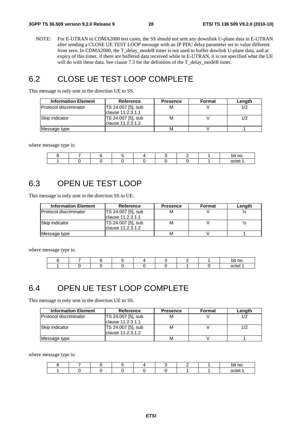NOTE: For E-UTRAN to CDMA2000 test cases, the SS should not sent any downlink U-plane data in E-UTRAN after sending a CLOSE UE TEST LOOP message with an IP PDU delay parameter set to value different from zero. In CDMA2000, the T\_delay\_modeB timer is not used to buffer dowlink U-plane data, and at expiry of this timer, if there are buffered data received while in E-UTRAN, it is not specified what the UE will do with these data. See clause 7.3 for the definition of the T\_delay\_modeB timer.

### 6.2 CLOSE UE TEST LOOP COMPLETE

This message is only sent in the direction UE to SS.

| <b>Information Element</b>    | Reference          | <b>Presence</b> | Format | Length |
|-------------------------------|--------------------|-----------------|--------|--------|
| <b>Protocol discriminator</b> | TS 24.007 [5], sub | М               |        |        |
|                               | lclause 11.2.3.1.1 |                 |        |        |
| <b>Skip indicator</b>         | TS 24.007 [5], sub | М               |        |        |
|                               | lclause 11.2.3.1.2 |                 |        |        |
| Message type                  |                    | М               |        |        |

where message type is:

|  |  |  |  | bit no. |
|--|--|--|--|---------|
|  |  |  |  | octet   |

### 6.3 OPEN UE TEST LOOP

This message is only sent in the direction SS to UE.

| <b>Information Element</b>    | Reference                               | <b>Presence</b> | <b>Format</b> | Length |
|-------------------------------|-----------------------------------------|-----------------|---------------|--------|
| <b>Protocol discriminator</b> | TS 24.007 [5], sub<br>clause 11.2.3.1.1 | M               |               |        |
| Skip indicator                | TS 24.007 [5], sub<br>clause 11.2.3.1.2 | M               |               |        |
| Message type                  |                                         | M               |               |        |

where message type is:

|  |  |  |  | hit nr |
|--|--|--|--|--------|
|  |  |  |  | . ~†ല  |

# 6.4 OPEN UE TEST LOOP COMPLETE

This message is only sent in the direction UE to SS.

| <b>Information Element</b>     | Reference                                      | <b>Presence</b> | <b>Format</b> | Length |
|--------------------------------|------------------------------------------------|-----------------|---------------|--------|
| <b>IProtocol discriminator</b> | TS 24.007 [5], sub<br>clause 11.2.3.1.1        | M               |               | 1/2    |
| Skip indicator                 | <b>TS 24.007 [5], sub</b><br>clause 11.2.3.1.2 | M               |               |        |
| Message type                   |                                                | M               |               |        |

where message type is:

|  |  |  |  | bit no. |
|--|--|--|--|---------|
|  |  |  |  | octet   |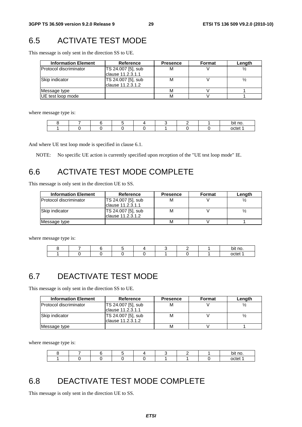# 6.5 ACTIVATE TEST MODE

This message is only sent in the direction SS to UE.

| <b>Information Element</b>    | Reference                                | <b>Presence</b> | <b>Format</b> | Length |
|-------------------------------|------------------------------------------|-----------------|---------------|--------|
| <b>Protocol discriminator</b> | TS 24.007 [5], sub<br>Iclause 11.2.3.1.1 | м               |               |        |
| Skip indicator                | TS 24.007 [5], sub<br>lclause 11.2.3.1.2 | М               |               |        |
| Message type                  |                                          | М               |               |        |
| UE test loop mode             |                                          | м               |               |        |

where message type is:

|  |  |  |  | bit no. |
|--|--|--|--|---------|
|  |  |  |  | octet   |

And where UE test loop mode is specified in clause 6.1.

NOTE: No specific UE action is currently specified upon reception of the "UE test loop mode" IE.

# 6.6 ACTIVATE TEST MODE COMPLETE

This message is only sent in the direction UE to SS.

| <b>Information Element</b>    | Reference          | <b>Presence</b> | Format | Length |
|-------------------------------|--------------------|-----------------|--------|--------|
| <b>Protocol discriminator</b> | TS 24.007 [5], sub | м               |        |        |
|                               | Iclause 11.2.3.1.1 |                 |        |        |
| <b>Skip indicator</b>         | TS 24.007 [5], sub | M               |        |        |
|                               | lclause 11.2.3.1.2 |                 |        |        |
| Message type                  |                    | м               |        |        |

where message type is:

|  |  |  |  | bit no. |
|--|--|--|--|---------|
|  |  |  |  | nctet   |

# 6.7 DEACTIVATE TEST MODE

This message is only sent in the direction SS to UE.

| <b>Information Element</b>     | Reference          | <b>Presence</b> | Format | Length |
|--------------------------------|--------------------|-----------------|--------|--------|
| <b>IProtocol discriminator</b> | TS 24.007 [5], sub | М               |        |        |
|                                | Iclause 11.2.3.1.1 |                 |        |        |
| Skip indicator                 | TS 24.007 [5], sub | М               |        |        |
|                                | Iclause 11.2.3.1.2 |                 |        |        |
| Message type                   |                    | М               |        |        |

where message type is:

|  |  |  |  | bit no. |
|--|--|--|--|---------|
|  |  |  |  | octet   |

# 6.8 DEACTIVATE TEST MODE COMPLETE

This message is only sent in the direction UE to SS.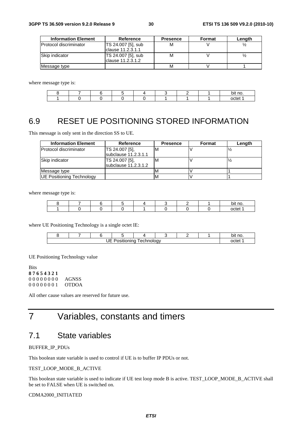| <b>Information Element</b> | Reference          | <b>Presence</b> | Format | Length |
|----------------------------|--------------------|-----------------|--------|--------|
| Protocol discriminator     | TS 24.007 [5], sub | М               |        |        |
|                            | Iclause 11.2.3.1.1 |                 |        |        |
| Skip indicator             | TS 24.007 [5], sub | М               |        |        |
|                            | Iclause 11.2.3.1.2 |                 |        |        |
| Message type               |                    | м               |        |        |

where message type is:

|  |  |  |  | bit no |
|--|--|--|--|--------|
|  |  |  |  | $-1$   |

# 6.9 RESET UE POSITIONING STORED INFORMATION

This message is only sent in the direction SS to UE.

| <b>Information Element</b>       | Reference                                | <b>Presence</b> | Format | Length |
|----------------------------------|------------------------------------------|-----------------|--------|--------|
| <b>Protocol discriminator</b>    | TS 24.007 [5],<br>subclause 11.2.3.1.1   | ΙM              |        |        |
| Skip indicator                   | TS 24.007 [5],<br>$subclause$ 11.2.3.1.2 | ΙM              |        |        |
| Message type                     |                                          |                 |        |        |
| <b>UE Positioning Technology</b> |                                          | <b>IV</b>       |        |        |

where message type is:

|  |  |  |  | bit no. |
|--|--|--|--|---------|
|  |  |  |  | octet   |

where UE Positioning Technology is a single octet IE:

|                                                                    |  |  |  |  |  |  |  | `no.<br>bit |
|--------------------------------------------------------------------|--|--|--|--|--|--|--|-------------|
| $\overline{1}$<br>-<br>echnology.<br>ıno<br>. .<br>. .<br>ш<br>. . |  |  |  |  |  |  |  | 'חר ו       |

UE Positioning Technology value

Bits **8 7 6 5 4 3 2 1** 0 0 0 0 0 0 0 0 AGNSS 0 0 0 0 0 0 0 1 OTDOA

All other cause values are reserved for future use.

# 7 Variables, constants and timers

### 7.1 State variables

#### BUFFER\_IP\_PDUs

This boolean state variable is used to control if UE is to buffer IP PDUs or not.

#### TEST\_LOOP\_MODE\_B\_ACTIVE

This boolean state variable is used to indicate if UE test loop mode B is active. TEST\_LOOP\_MODE\_B\_ACTIVE shall be set to FALSE when UE is switched on.

#### CDMA2000\_INITIATED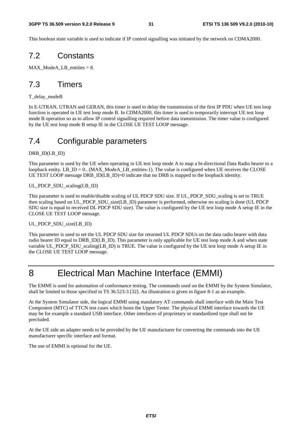This boolean state variable is used to indicate if IP control signalling was initiated by the network on CDMA2000.

### 7.2 Constants

 $MAX\_ModeA\_LB\_entities = 8.$ 

### 7.3 Timers

T\_delay\_modeB

In E-UTRAN, UTRAN and GERAN, this timer is used to delay the transmission of the first IP PDU when UE test loop function is operated in UE test loop mode B. In CDMA2000, this timer is used to temporarily interrupt UE test loop mode B operation so as to allow IP control signalling required before data transmission. The timer value is configured by the UE test loop mode B setup IE in the CLOSE UE TEST LOOP message.

### 7.4 Configurable parameters

#### DRB\_ID(LB\_ID)

This parameter is used by the UE when operating in UE test loop mode A to map a bi-directional Data Radio bearer to a loopback entity. LB  $ID = 0$ . (MAX ModeA LB entities-1). The value is configured when UE receives the CLOSE UE TEST LOOP message DRB ID(LB ID)=0 indicate that no DRB is mapped to the loopback identity.

#### UL\_PDCP\_SDU\_scaling(LB\_ID)

This parameter is used to enable/disable scaling of UL PDCP SDU size. If UL\_PDCP\_SDU\_scaling is set to TRUE then scaling based on UL\_PDCP\_SDU\_size(LB\_ID) parameter is performed, otherwise no scaling is done (UL PDCP SDU size is equal to received DL PDCP SDU size). The value is configured by the UE test loop mode A setup IE in the CLOSE UE TEST LOOP message.

#### UL\_PDCP\_SDU\_size(LB\_ID)

This parameter is used to set the UL PDCP SDU size for returned UL PDCP SDUs on the data radio bearer with data radio bearer ID equal to DRB\_ID(LB\_ID). This parameter is only applicable for UE test loop mode A and when state variable UL\_PDCP\_SDU\_scaling(LB\_ID) is TRUE. The value is configured by the UE test loop mode A setup IE in the CLOSE UE TEST LOOP message.

# 8 Electrical Man Machine Interface (EMMI)

The EMMI is used for automation of conformance testing. The commands used on the EMMI by the System Simulator, shall be limited to those specified in TS 36.523-3 [32]. An illustration is given in figure 8-1 as an example.

At the System Simulator side, the logical EMMI using mandatory AT commands shall interface with the Main Test Component (MTC) of TTCN test cases which hosts the Upper Tester. The physical EMMI interface towards the UE may be for example a standard USB interface. Other interfaces of proprietary or standardized type shall not be precluded.

At the UE side an adapter needs to be provided by the UE manufacturer for converting the commands into the UE manufacturer specific interface and format.

The use of EMMI is optional for the UE.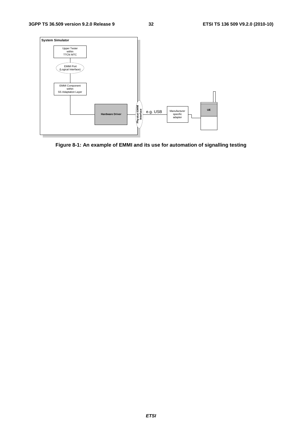

**Figure 8-1: An example of EMMI and its use for automation of signalling testing**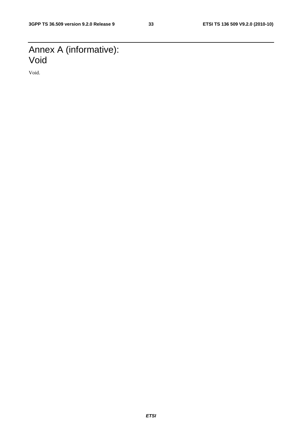# Annex A (informative): Void

Void.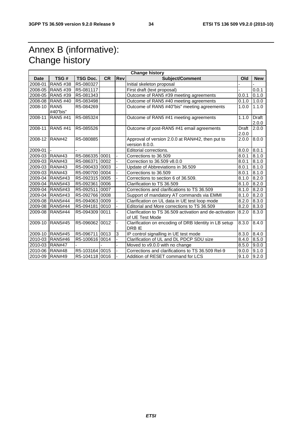# Annex B (informative): Change history

|                       | <b>Change history</b>        |                 |           |            |                                                                            |                       |                       |  |  |  |
|-----------------------|------------------------------|-----------------|-----------|------------|----------------------------------------------------------------------------|-----------------------|-----------------------|--|--|--|
| <b>Date</b>           | TSG#                         | <b>TSG Doc.</b> | <b>CR</b> | <b>Rev</b> | <b>Subject/Comment</b>                                                     | Old                   | <b>New</b>            |  |  |  |
| 2008-01               | RAN5 #38                     | R5-080327       |           |            | Initial skeleton proposal                                                  |                       |                       |  |  |  |
| 2008-05               | RAN5 #39                     | R5-081117       |           |            | First draft (text proposal)                                                |                       | 0.0.1                 |  |  |  |
| 2008-05               | RAN5 #39                     | R5-081343       |           |            | Outcome of RAN5 #39 meeting agreements                                     | 0.0.1                 | 0.1.0                 |  |  |  |
| 2008-08               | <b>RAN5#40</b>               | R5-083498       |           |            | Outcome of RAN5 #40 meeting agreements                                     | 0.1.0                 | 1.0.0                 |  |  |  |
| 2008-10               | RAN <sub>5</sub><br>#40"bis" | R5-084269       |           |            | Outcome of RAN5 #40"bis" meeting agreements                                | 1.0.0                 | 1.1.0                 |  |  |  |
| 2008-11               | RAN5 #41                     | R5-085324       |           |            | Outcome of RAN5 #41 meeting agreements                                     | 1.1.0                 | <b>Draft</b><br>2.0.0 |  |  |  |
| 2008-11               | <b>RAN5 #41</b>              | R5-085526       |           |            | Outcome of post-RAN5 #41 email agreements                                  | <b>Draft</b><br>2.0.0 | 2.0.0                 |  |  |  |
| 2008-12               | RAN#42                       | R5-080885       |           |            | Approval of version 2.0.0 at RAN#42, then put to<br>version 8.0.0.         | 2.0.0                 | 8.0.0                 |  |  |  |
| 2009-01               |                              |                 |           |            | Editorial corrections.                                                     | 8.0.0                 | 8.0.1                 |  |  |  |
| 2009-03               | <b>RAN#43</b>                | R5-086335 0001  |           |            | Corrections to 36.509                                                      | 8.0.1                 | 8.1.0                 |  |  |  |
| 2009-03               | <b>RAN#43</b>                | R5-086371 0002  |           |            | Correction to 36.509 v8.0.0                                                | 8.0.1                 | 8.1.0                 |  |  |  |
| 2009-03               | <b>RAN#43</b>                | R5-090433 0003  |           |            | Update of Abbreviations in 36.509                                          | 8.0.1                 | 8.1.0                 |  |  |  |
| 2009-03               | <b>RAN#43</b>                | R5-090700 0004  |           |            | Corrections to 36.509                                                      | 8.0.1                 | 8.1.0                 |  |  |  |
| 2009-04               | <b>RAN5#43</b>               | R5-092315 0005  |           |            | Corrections to section 6 of 36.509.                                        | 8.1.0                 | $\sqrt{8.2.0}$        |  |  |  |
| 2009-04               | <b>RAN5#43</b>               | R5-092361 0006  |           |            | Clarification to TS 36.509                                                 | 8.1.0                 | 8.2.0                 |  |  |  |
| 2009-04               | <b>RAN5#43</b>               | R5-092511 0007  |           |            | Corrections and clarifications to TS 36.509                                | 8.1.0                 | 8.2.0                 |  |  |  |
| 2009-04               | <b>RAN5#43</b>               | R5-092766 0008  |           |            | Support of mandatory AT commands via EMMI                                  | 8.1.0                 | 8.2.0                 |  |  |  |
| 2009-08               | <b>RAN5#44</b>               | R5-094063 0009  |           |            | Clarification on UL data in UE test loop mode                              | 8.2.0                 | 8.3.0                 |  |  |  |
| 2009-08               | <b>RAN5#44</b>               | R5-094181 0010  |           |            | Editorial and More corrections to TS 36.509                                | 8.2.0                 | 8.3.0                 |  |  |  |
| 2009-08               | <b>RAN5#44</b>               | R5-094309       | 0011      |            | Clarification to TS 36.509 activation and de-activation<br>of UE Test Mode | 8.2.0                 | 8.3.0                 |  |  |  |
| 2009-10               | <b>RAN5#45</b>               | R5-096062 0012  |           |            | Clarification on encoding of DRB Identity in LB setup<br>DRB IE            | 8.3.0                 | 8.4.0                 |  |  |  |
|                       | 2009-10 RAN5#45              | R5-096711 0013  |           | 3          | IP control signalling in UE test mode                                      | 8.3.0                 | 8.4.0                 |  |  |  |
| 2010-03               | <b>RAN5#46</b>               | R5-100616 0014  |           |            | Clarification of UL and DL PDCP SDU size                                   | 8.4.0                 | 8.5.0                 |  |  |  |
| 2010-03 RAN#47        |                              |                 |           |            | Moved to v9.0.0 with no change                                             | 8.5.0                 | 9.0.0                 |  |  |  |
| $\overline{2010}$ -06 | <b>RAN#48</b>                | R5-103164 0015  |           |            | Corrections and clarifications to TS 36.509 Rel-9                          | 9.0.0                 | $\overline{9.1.0}$    |  |  |  |
| 2010-09               | <b>RAN#49</b>                | R5-104118 0016  |           |            | Addition of RESET command for LCS                                          | 9.1.0                 | $\overline{9.2.0}$    |  |  |  |